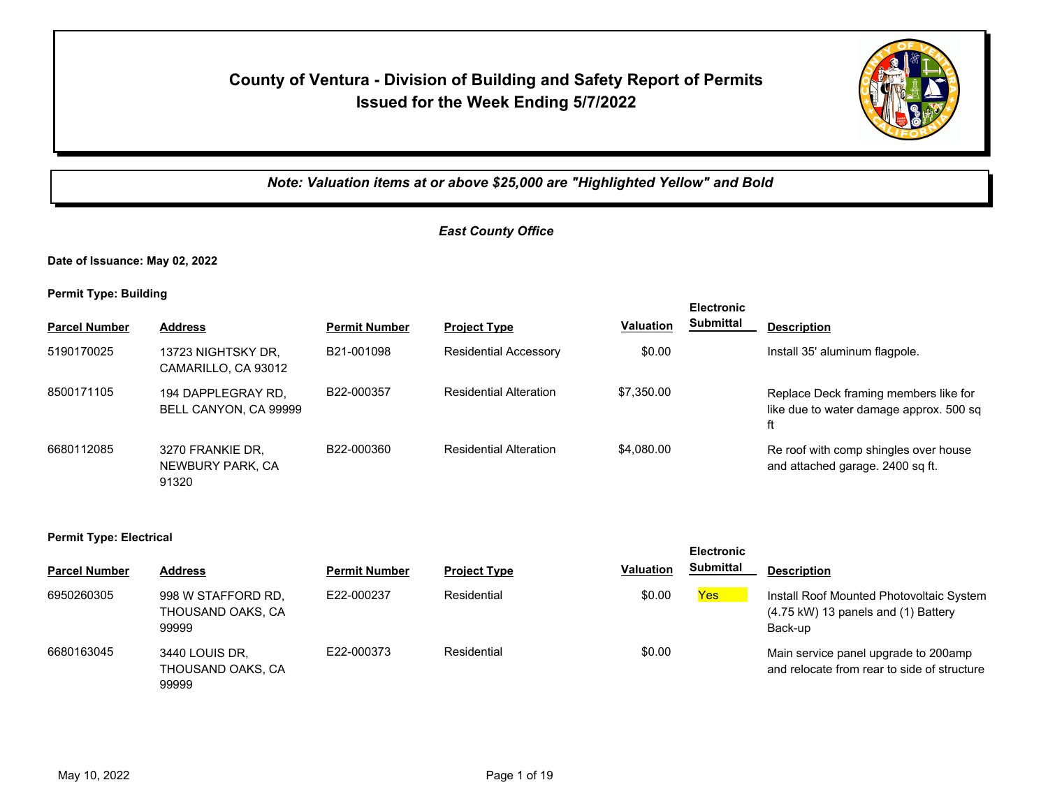# **County of Ventura - Division of Building and Safety Report of Permits Issued for the Week Ending 5/7/2022**



*Note: Valuation items at or above \$25,000 are "Highlighted Yellow" and Bold*

## *East County Office*

**Date of Issuance: May 02, 2022**

**Permit Type: Building**

|                      |                                               |                      |                               |                  | <b>Electronic</b> |                                                                                        |
|----------------------|-----------------------------------------------|----------------------|-------------------------------|------------------|-------------------|----------------------------------------------------------------------------------------|
| <b>Parcel Number</b> | <b>Address</b>                                | <b>Permit Number</b> | <b>Project Type</b>           | <b>Valuation</b> | <b>Submittal</b>  | <b>Description</b>                                                                     |
| 5190170025           | 13723 NIGHTSKY DR.<br>CAMARILLO, CA 93012     | B21-001098           | <b>Residential Accessory</b>  | \$0.00           |                   | Install 35' aluminum flagpole.                                                         |
| 8500171105           | 194 DAPPLEGRAY RD.<br>BELL CANYON, CA 99999   | B22-000357           | <b>Residential Alteration</b> | \$7,350.00       |                   | Replace Deck framing members like for<br>like due to water damage approx. 500 sq<br>ft |
| 6680112085           | 3270 FRANKIE DR.<br>NEWBURY PARK, CA<br>91320 | B22-000360           | <b>Residential Alteration</b> | \$4,080.00       |                   | Re roof with comp shingles over house<br>and attached garage. 2400 sq ft.              |

#### **Permit Type: Electrical**

| <b>Parcel Number</b> | <b>Address</b>                                   | <b>Permit Number</b> | <b>Project Type</b> | <b>Valuation</b> | -------<br><b>Submittal</b> | <b>Description</b>                                                                                     |
|----------------------|--------------------------------------------------|----------------------|---------------------|------------------|-----------------------------|--------------------------------------------------------------------------------------------------------|
| 6950260305           | 998 W STAFFORD RD,<br>THOUSAND OAKS, CA<br>99999 | E22-000237           | Residential         | \$0.00           | <b>Yes</b>                  | Install Roof Mounted Photovoltaic System<br>$(4.75 \text{ kW})$ 13 panels and $(1)$ Battery<br>Back-up |
| 6680163045           | 3440 LOUIS DR,<br>THOUSAND OAKS, CA<br>99999     | E22-000373           | Residential         | \$0.00           |                             | Main service panel upgrade to 200amp<br>and relocate from rear to side of structure                    |

**Electronic**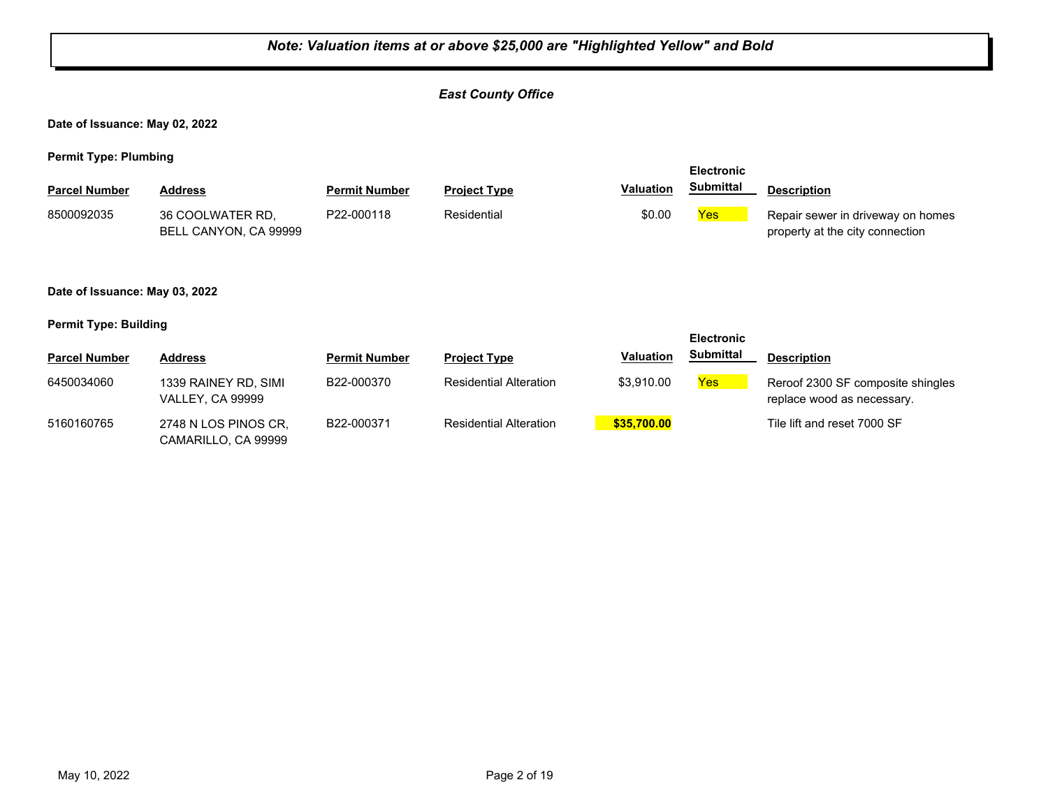## *Note: Valuation items at or above \$25,000 are "Highlighted Yellow" and Bold East County Office* **Date of Issuance: May 02, 2022 Permit Type: Plumbing Parcel Number Address <b>Permit Number Project Type Valuation Submittal** Description **Electronic Submittal** 8500092035 36 COOLWATER RD, P22-000118 Residential \$0.00 <mark>Yes</mark> BELL CANYON, CA 99999 P22-000118 Residential **Repair sewer in driveway on homes** \$0.00 Repair sewer in driveway on homes property at the city connection **Date of Issuance: May 03, 2022 Permit Type: Building Parcel Number Address Permit Number Project Type Valuation Submittal Description Electronic Submittal** 6450034060 1339 RAINEY RD, SIMI B22-000370 Residential Alteration \$3,910.00 <mark>Yes</mark> VALLEY, CA 99999 B22-000370 Residential Alteration \$3,910.00 **Yes** Reroof 2300 SF composite shingles replace wood as necessary. 5160160765 2748 N LOS PINOS CR, B22-000371 Residential Alteration <mark> \$35,700.00</mark> Tile lift and reset 7000 SF CAMARILLO, CA 99999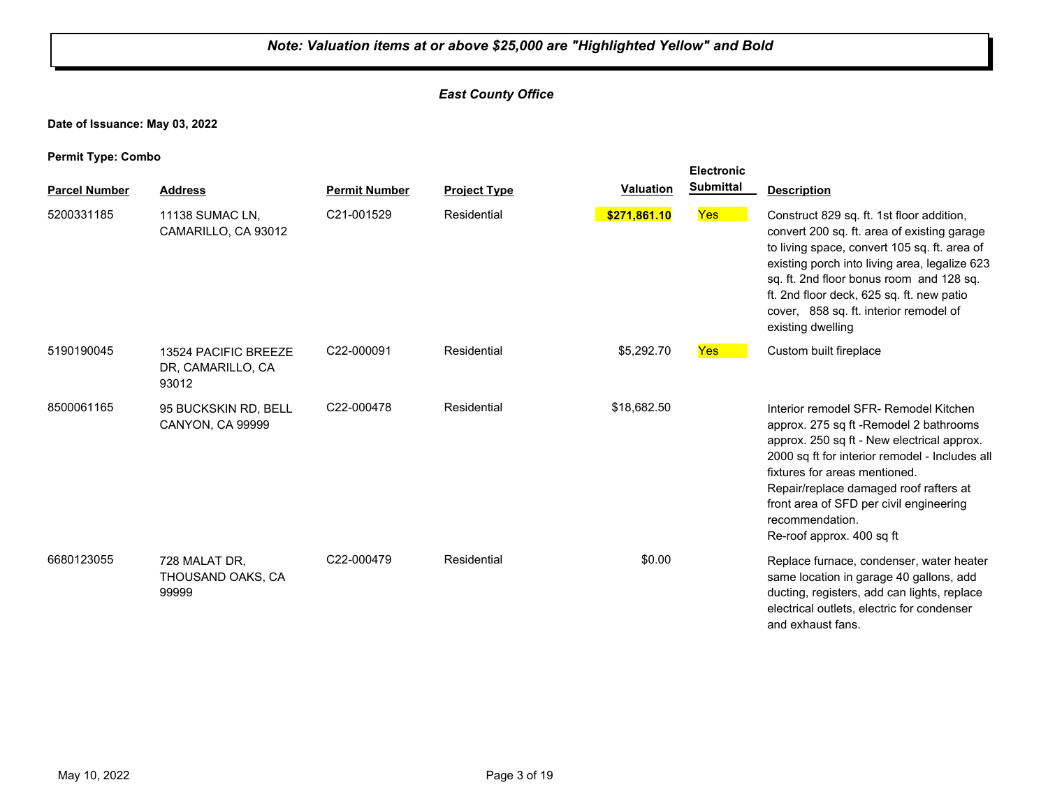## *East County Office*

**Date of Issuance: May 03, 2022**

| r emme rype. Oomso   |                                                    |                      |                     |                  |                  |                                                                                                                                                                                                                                                                                                                                                        |
|----------------------|----------------------------------------------------|----------------------|---------------------|------------------|------------------|--------------------------------------------------------------------------------------------------------------------------------------------------------------------------------------------------------------------------------------------------------------------------------------------------------------------------------------------------------|
| <b>Parcel Number</b> | <b>Address</b>                                     | <b>Permit Number</b> | <b>Project Type</b> | <b>Valuation</b> | <b>Submittal</b> | <b>Description</b>                                                                                                                                                                                                                                                                                                                                     |
| 5200331185           | 11138 SUMAC LN,<br>CAMARILLO, CA 93012             | C21-001529           | Residential         | \$271,861.10     | <b>Yes</b>       | Construct 829 sq. ft. 1st floor addition,<br>convert 200 sq. ft. area of existing garage<br>to living space, convert 105 sq. ft. area of<br>existing porch into living area, legalize 623<br>sq. ft. 2nd floor bonus room and 128 sq.<br>ft. 2nd floor deck, 625 sq. ft. new patio<br>cover, 858 sq. ft. interior remodel of<br>existing dwelling      |
| 5190190045           | 13524 PACIFIC BREEZE<br>DR, CAMARILLO, CA<br>93012 | C22-000091           | Residential         | \$5,292.70       | <b>Yes</b>       | Custom built fireplace                                                                                                                                                                                                                                                                                                                                 |
| 8500061165           | 95 BUCKSKIN RD, BELL<br><b>CANYON, CA 99999</b>    | C22-000478           | Residential         | \$18,682.50      |                  | Interior remodel SFR- Remodel Kitchen<br>approx. 275 sq ft - Remodel 2 bathrooms<br>approx. 250 sq ft - New electrical approx.<br>2000 sq ft for interior remodel - Includes all<br>fixtures for areas mentioned.<br>Repair/replace damaged roof rafters at<br>front area of SFD per civil engineering<br>recommendation.<br>Re-roof approx. 400 sq ft |
| 6680123055           | 728 MALAT DR,<br>THOUSAND OAKS, CA<br>99999        | C22-000479           | Residential         | \$0.00           |                  | Replace furnace, condenser, water heater<br>same location in garage 40 gallons, add<br>ducting, registers, add can lights, replace<br>electrical outlets, electric for condenser<br>and exhaust fans.                                                                                                                                                  |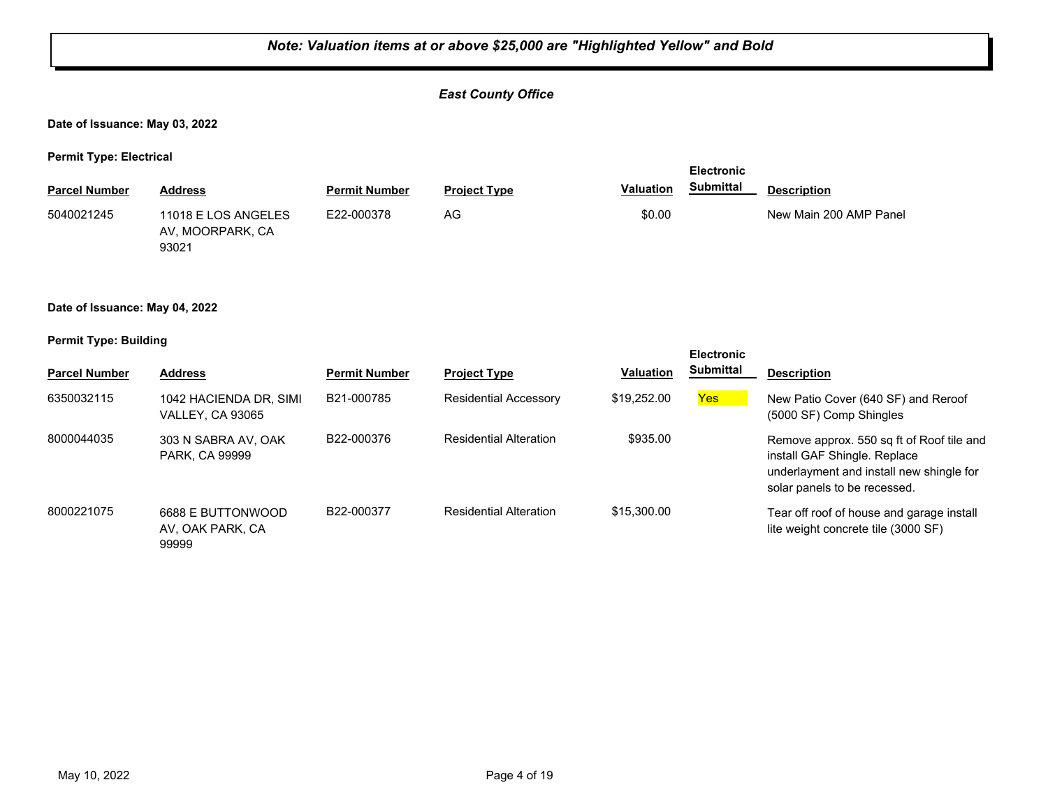#### *East County Office*

#### **Date of Issuance: May 03, 2022**

**Permit Type: Electrical**

| . .                  |                                                  |                      |                     |                  | <b>Electronic</b> |                        |  |
|----------------------|--------------------------------------------------|----------------------|---------------------|------------------|-------------------|------------------------|--|
| <b>Parcel Number</b> | <b>Address</b>                                   | <b>Permit Number</b> | <b>Project Type</b> | <b>Valuation</b> | <b>Submittal</b>  | <b>Description</b>     |  |
| 5040021245           | 11018 E LOS ANGELES<br>AV, MOORPARK, CA<br>93021 | E22-000378           | AG.                 | \$0.00           |                   | New Main 200 AMP Panel |  |

#### **Date of Issuance: May 04, 2022**

#### **Permit Type: Building**

|                      |                                                   |                      |                               |                  | <b>Electronic</b> |                                                                                                                                                       |
|----------------------|---------------------------------------------------|----------------------|-------------------------------|------------------|-------------------|-------------------------------------------------------------------------------------------------------------------------------------------------------|
| <b>Parcel Number</b> | <b>Address</b>                                    | <b>Permit Number</b> | <b>Project Type</b>           | <b>Valuation</b> | <b>Submittal</b>  | <b>Description</b>                                                                                                                                    |
| 6350032115           | 1042 HACIENDA DR, SIMI<br><b>VALLEY, CA 93065</b> | B21-000785           | <b>Residential Accessory</b>  | \$19,252.00      | <b>Yes</b>        | New Patio Cover (640 SF) and Reroof<br>(5000 SF) Comp Shingles                                                                                        |
| 8000044035           | 303 N SABRA AV. OAK<br><b>PARK, CA 99999</b>      | B22-000376           | <b>Residential Alteration</b> | \$935.00         |                   | Remove approx. 550 sq ft of Roof tile and<br>install GAF Shingle, Replace<br>underlayment and install new shingle for<br>solar panels to be recessed. |
| 8000221075           | 6688 E BUTTONWOOD<br>AV. OAK PARK. CA<br>99999    | B22-000377           | <b>Residential Alteration</b> | \$15,300.00      |                   | Tear off roof of house and garage install<br>lite weight concrete tile (3000 SF)                                                                      |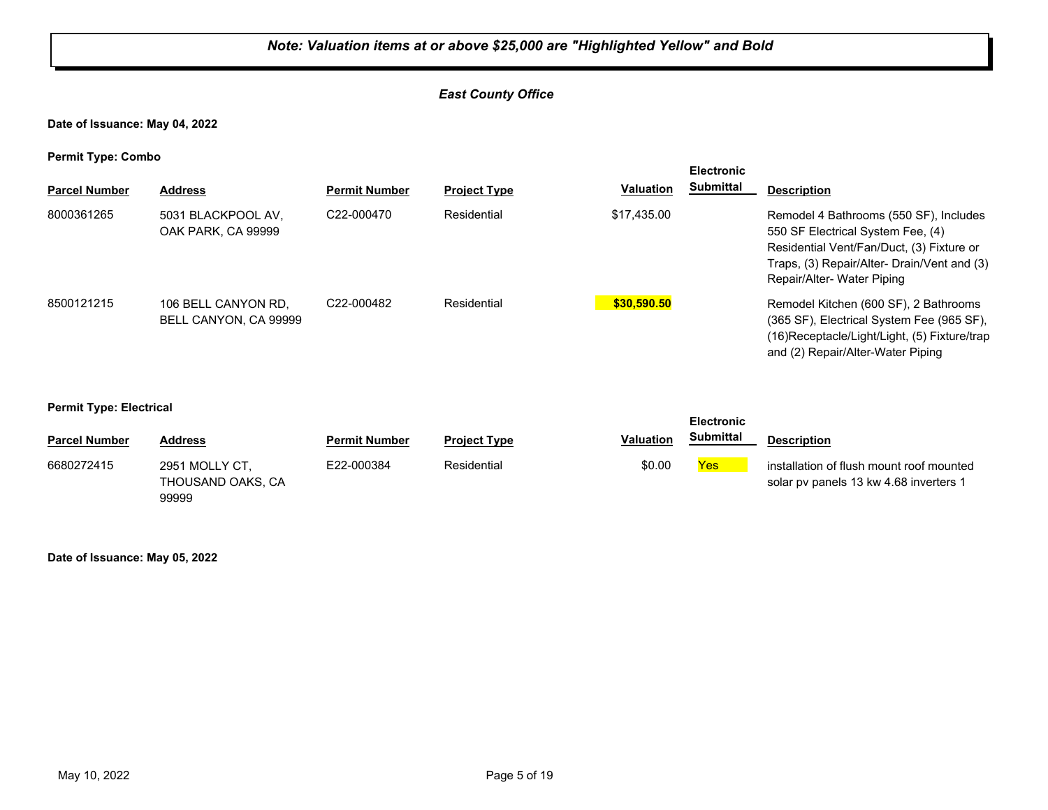#### *East County Office*

**Date of Issuance: May 04, 2022**

**Permit Type: Combo**

| . .                  |                                              |                         |                     |                  | <b>Electronic</b> |                                                                                                                                                                                                      |
|----------------------|----------------------------------------------|-------------------------|---------------------|------------------|-------------------|------------------------------------------------------------------------------------------------------------------------------------------------------------------------------------------------------|
| <b>Parcel Number</b> | <b>Address</b>                               | <b>Permit Number</b>    | <b>Project Type</b> | <b>Valuation</b> | Submittal         | <b>Description</b>                                                                                                                                                                                   |
| 8000361265           | 5031 BLACKPOOL AV.<br>OAK PARK, CA 99999     | C <sub>22</sub> -000470 | Residential         | \$17.435.00      |                   | Remodel 4 Bathrooms (550 SF), Includes<br>550 SF Electrical System Fee, (4)<br>Residential Vent/Fan/Duct, (3) Fixture or<br>Traps, (3) Repair/Alter- Drain/Vent and (3)<br>Repair/Alter-Water Piping |
| 8500121215           | 106 BELL CANYON RD.<br>BELL CANYON, CA 99999 | C22-000482              | Residential         | \$30,590,50      |                   | Remodel Kitchen (600 SF), 2 Bathrooms<br>(365 SF), Electrical System Fee (965 SF),<br>(16) Receptacle/Light/Light, (5) Fixture/trap<br>and (2) Repair/Alter-Water Piping                             |

**Permit Type: Electrical**

|                      |                                              |                      |                     |                  | <b>Electronic</b> |                                                                                    |  |
|----------------------|----------------------------------------------|----------------------|---------------------|------------------|-------------------|------------------------------------------------------------------------------------|--|
| <b>Parcel Number</b> | <b>Address</b>                               | <b>Permit Number</b> | <b>Project Type</b> | <b>Valuation</b> | <b>Submittal</b>  | <b>Description</b>                                                                 |  |
| 6680272415           | 2951 MOLLY CT.<br>THOUSAND OAKS, CA<br>99999 | E22-000384           | Residential         | \$0.00           | Yes               | installation of flush mount roof mounted<br>solar pv panels 13 kw 4.68 inverters 1 |  |

**Date of Issuance: May 05, 2022**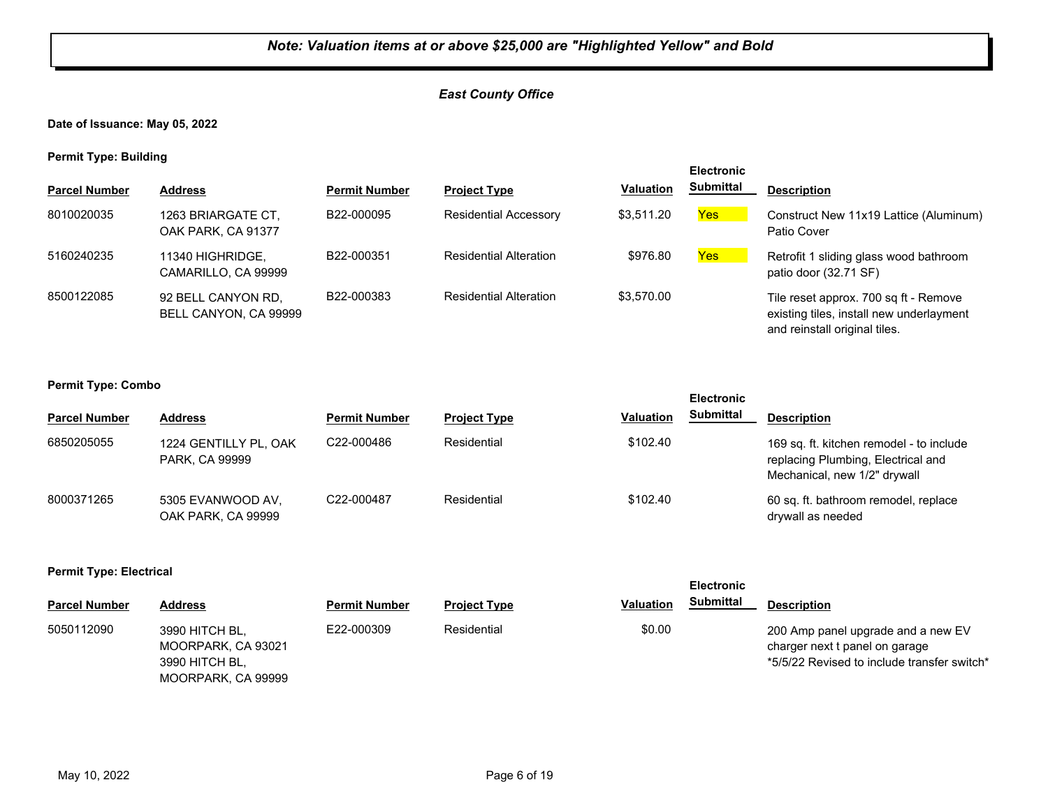#### *East County Office*

**Date of Issuance: May 05, 2022**

**Permit Type: Building**

|                      |                                             |                      |                               |                  | <b>Electronic</b> |                                                                                                                    |
|----------------------|---------------------------------------------|----------------------|-------------------------------|------------------|-------------------|--------------------------------------------------------------------------------------------------------------------|
| <b>Parcel Number</b> | <b>Address</b>                              | <b>Permit Number</b> | <b>Project Type</b>           | <b>Valuation</b> | <b>Submittal</b>  | <b>Description</b>                                                                                                 |
| 8010020035           | 1263 BRIARGATE CT,<br>OAK PARK, CA 91377    | B22-000095           | <b>Residential Accessory</b>  | \$3,511.20       | Yes <sub>o</sub>  | Construct New 11x19 Lattice (Aluminum)<br>Patio Cover                                                              |
| 5160240235           | 11340 HIGHRIDGE.<br>CAMARILLO, CA 99999     | B22-000351           | <b>Residential Alteration</b> | \$976.80         | Yes               | Retrofit 1 sliding glass wood bathroom<br>patio door (32.71 SF)                                                    |
| 8500122085           | 92 BELL CANYON RD,<br>BELL CANYON, CA 99999 | B22-000383           | <b>Residential Alteration</b> | \$3,570.00       |                   | Tile reset approx. 700 sq ft - Remove<br>existing tiles, install new underlayment<br>and reinstall original tiles. |

#### **Permit Type: Combo**

|                      |                                         |                      |                     |                  | --------         |                                                                                                                |
|----------------------|-----------------------------------------|----------------------|---------------------|------------------|------------------|----------------------------------------------------------------------------------------------------------------|
| <b>Parcel Number</b> | <b>Address</b>                          | <b>Permit Number</b> | <b>Project Type</b> | <b>Valuation</b> | <b>Submittal</b> | <b>Description</b>                                                                                             |
| 6850205055           | 1224 GENTILLY PL, OAK<br>PARK, CA 99999 | C22-000486           | Residential         | \$102.40         |                  | 169 sq. ft. kitchen remodel - to include<br>replacing Plumbing, Electrical and<br>Mechanical, new 1/2" drywall |
| 8000371265           | 5305 EVANWOOD AV.<br>OAK PARK, CA 99999 | C22-000487           | Residential         | \$102.40         |                  | 60 sq. ft. bathroom remodel, replace<br>drywall as needed                                                      |

**Electronic** 

#### **Permit Type: Electrical**

|                      |                                                                              |                      |                     | <b>Electronic</b>                    |                                                                                                                     |
|----------------------|------------------------------------------------------------------------------|----------------------|---------------------|--------------------------------------|---------------------------------------------------------------------------------------------------------------------|
| <b>Parcel Number</b> | <b>Address</b>                                                               | <b>Permit Number</b> | <b>Project Type</b> | <b>Submittal</b><br><b>Valuation</b> | <b>Description</b>                                                                                                  |
| 5050112090           | 3990 HITCH BL,<br>MOORPARK, CA 93021<br>3990 HITCH BL,<br>MOORPARK, CA 99999 | E22-000309           | Residential         | \$0.00                               | 200 Amp panel upgrade and a new EV<br>charger next t panel on garage<br>*5/5/22 Revised to include transfer switch* |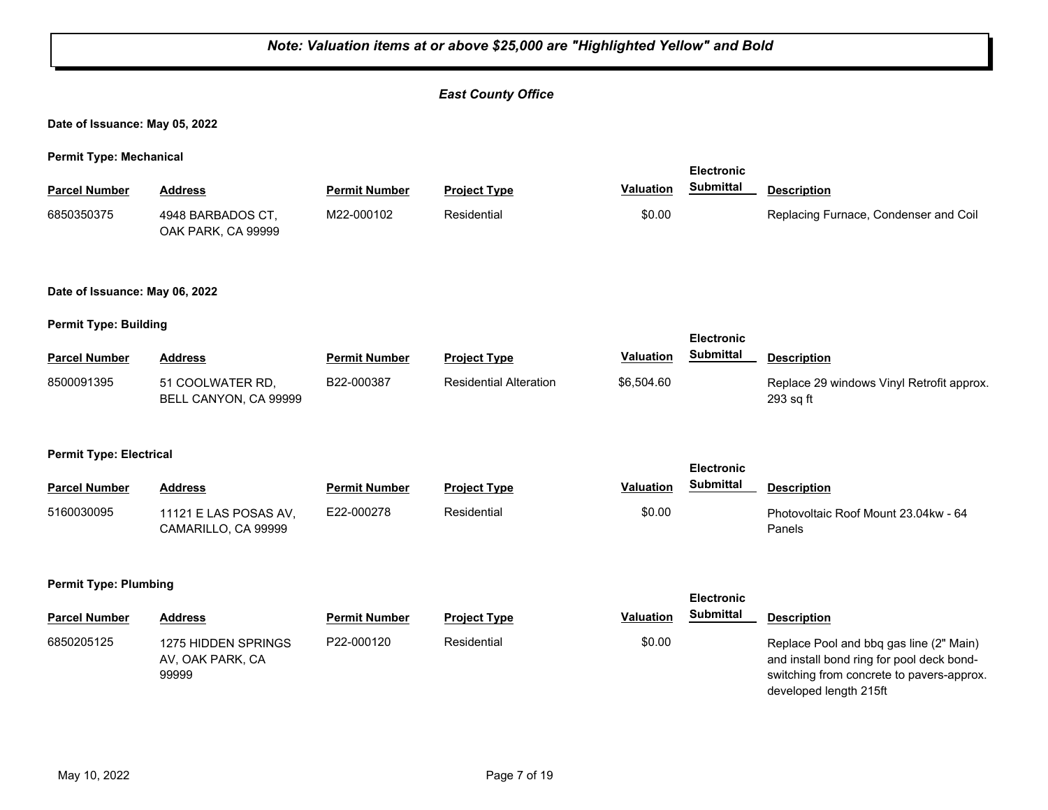#### *Note: Valuation items at or above \$25,000 are "Highlighted Yellow" and Bold East County Office* **Date of Issuance: May 05, 2022 Permit Type: Mechanical Parcel Number Address <b>Permit Number Project Type Valuation Submittal** Description **Electronic Submittal** 4948 BARBADOS CT, OAK PARK, CA 99999 6850350375 M22-000102 Residential \$0.00 Replacing Furnace, Condenser and Coil **Date of Issuance: May 06, 2022 Permit Type: Building Parcel Number Address <b>Permit Number Project Type Valuation Submittal** Description **Electronic Submittal** 51 COOLWATER RD, BELL CANYON, CA 99999 B22-000387 Residential Alteration \$6,504.60 Replace 29 windows Vinyl Retrofit approx. 293 sq ft 8500091395 **Permit Type: Electrical Parcel Number Address <b>Permit Number Project Type Valuation Submittal** Description **Electronic Submittal** 11121 E LAS POSAS AV, CAMARILLO, CA 99999 E22-000278 Residential \$0.00 Photovoltaic Roof Mount 23.04kw - 64 Panels 5160030095 **Permit Type: Plumbing Parcel Number Address Permit Number Project Type Valuation Description Electronic Submittal** 1275 HIDDEN SPRINGS AV, OAK PARK, CA 99999 P22-000120 Residential **Replace Pool and bbq gas line (2" Main)** Replace Pool and bbq gas line (2" Main) and install bond ring for pool deck bondswitching from concrete to pavers-approx. developed length 215ft 6850205125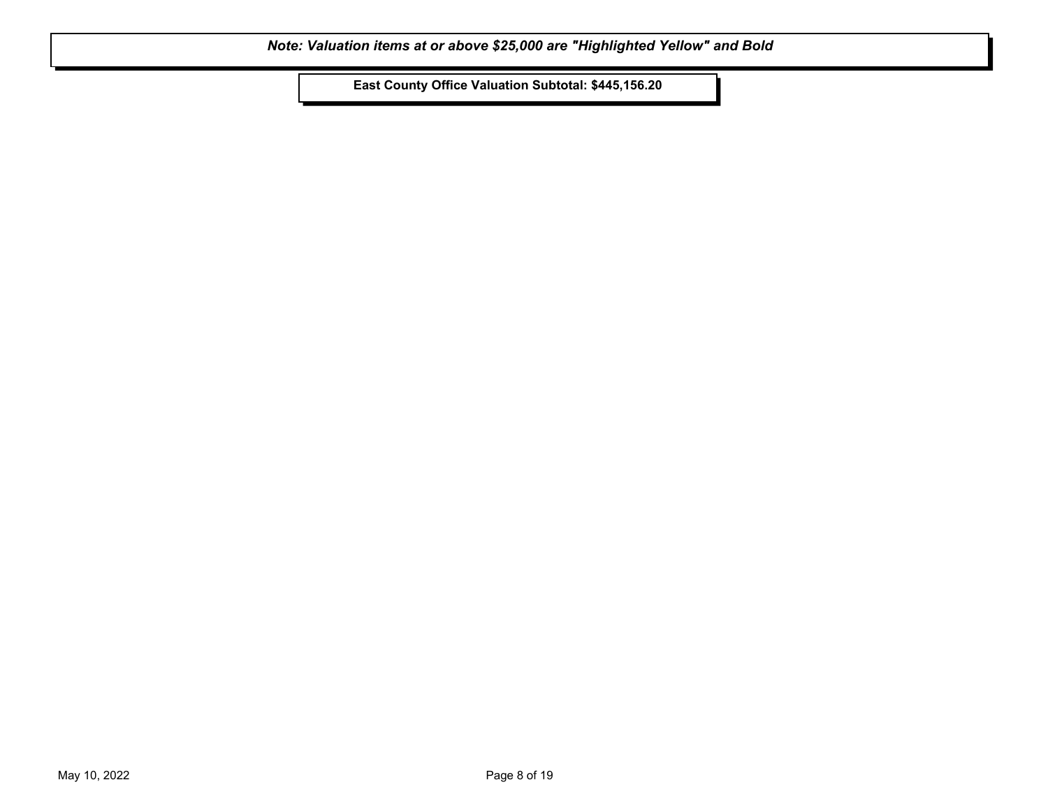**East County Office Valuation Subtotal: \$445,156.20**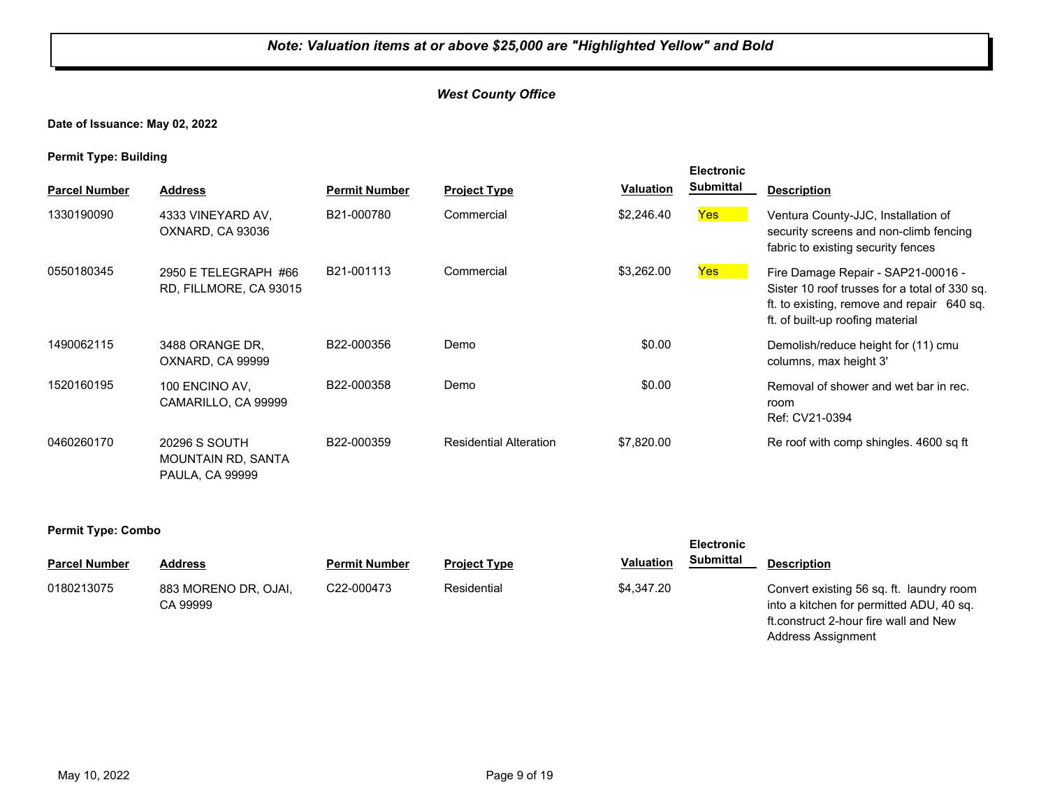**Date of Issuance: May 02, 2022**

**Permit Type: Building**

| . .                  |                                                                      |                      |                               |                  | <b>Electronic</b> |                                                                                                                                                                       |
|----------------------|----------------------------------------------------------------------|----------------------|-------------------------------|------------------|-------------------|-----------------------------------------------------------------------------------------------------------------------------------------------------------------------|
| <b>Parcel Number</b> | <b>Address</b>                                                       | <b>Permit Number</b> | <b>Project Type</b>           | <b>Valuation</b> | <b>Submittal</b>  | <b>Description</b>                                                                                                                                                    |
| 1330190090           | 4333 VINEYARD AV,<br>OXNARD, CA 93036                                | B21-000780           | Commercial                    | \$2,246.40       | Yes:              | Ventura County-JJC, Installation of<br>security screens and non-climb fencing<br>fabric to existing security fences                                                   |
| 0550180345           | 2950 E TELEGRAPH #66<br>RD, FILLMORE, CA 93015                       | B21-001113           | Commercial                    | \$3,262.00       | <b>Yes</b>        | Fire Damage Repair - SAP21-00016 -<br>Sister 10 roof trusses for a total of 330 sq.<br>ft. to existing, remove and repair 640 sq.<br>ft. of built-up roofing material |
| 1490062115           | 3488 ORANGE DR.<br>OXNARD, CA 99999                                  | B22-000356           | Demo                          | \$0.00           |                   | Demolish/reduce height for (11) cmu<br>columns, max height 3'                                                                                                         |
| 1520160195           | 100 ENCINO AV,<br>CAMARILLO, CA 99999                                | B22-000358           | Demo                          | \$0.00           |                   | Removal of shower and wet bar in rec.<br>room<br>Ref: CV21-0394                                                                                                       |
| 0460260170           | 20296 S SOUTH<br><b>MOUNTAIN RD, SANTA</b><br><b>PAULA, CA 99999</b> | B22-000359           | <b>Residential Alteration</b> | \$7,820.00       |                   | Re roof with comp shingles. 4600 sq ft                                                                                                                                |

#### **Permit Type: Combo**

| <b>Parcel Number</b> | Address                          | <b>Permit Number</b> | <b>Project Type</b> | <b>Valuation</b> | Submittal | <b>Description</b>                                                                                                            |
|----------------------|----------------------------------|----------------------|---------------------|------------------|-----------|-------------------------------------------------------------------------------------------------------------------------------|
| 0180213075           | 883 MORENO DR, OJAI,<br>CA 99999 | C22-000473           | Residential         | \$4.347.20       |           | Convert existing 56 sq. ft. laundry room<br>into a kitchen for permitted ADU, 40 sq.<br>ft.construct 2-hour fire wall and New |

Address Assignment

**Electronic**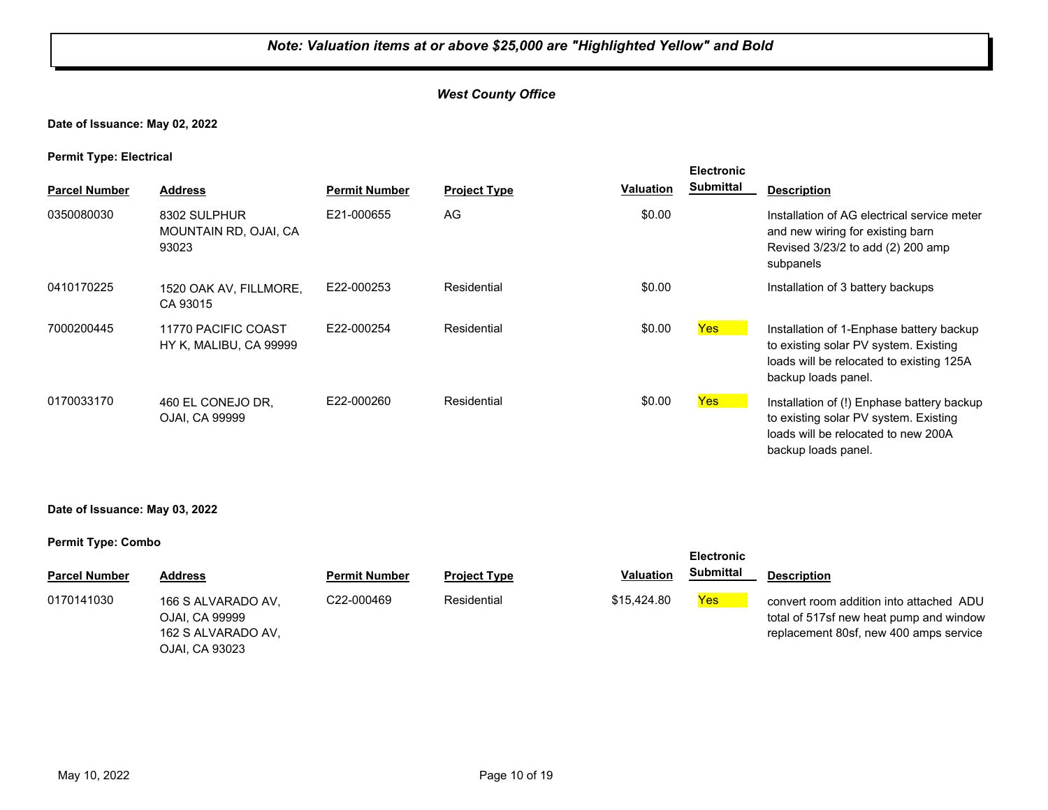#### **Date of Issuance: May 02, 2022**

**Permit Type: Electrical**

| . .<br><b>Parcel Number</b> | <b>Address</b>                                 | <b>Permit Number</b> | <b>Project Type</b> | <b>Valuation</b> | <b>Electronic</b><br><b>Submittal</b> |                                                                                                                                                      |
|-----------------------------|------------------------------------------------|----------------------|---------------------|------------------|---------------------------------------|------------------------------------------------------------------------------------------------------------------------------------------------------|
|                             |                                                |                      |                     |                  |                                       | <b>Description</b>                                                                                                                                   |
| 0350080030                  | 8302 SULPHUR<br>MOUNTAIN RD, OJAI, CA<br>93023 | E21-000655           | AG                  | \$0.00           |                                       | Installation of AG electrical service meter<br>and new wiring for existing barn<br>Revised 3/23/2 to add (2) 200 amp<br>subpanels                    |
| 0410170225                  | 1520 OAK AV, FILLMORE,<br>CA 93015             | E22-000253           | Residential         | \$0.00           |                                       | Installation of 3 battery backups                                                                                                                    |
| 7000200445                  | 11770 PACIFIC COAST<br>HY K, MALIBU, CA 99999  | E22-000254           | Residential         | \$0.00           | <b>Yes</b>                            | Installation of 1-Enphase battery backup<br>to existing solar PV system. Existing<br>loads will be relocated to existing 125A<br>backup loads panel. |
| 0170033170                  | 460 EL CONEJO DR.<br>OJAI, CA 99999            | E22-000260           | Residential         | \$0.00           | <b>Yes</b>                            | Installation of (!) Enphase battery backup<br>to existing solar PV system. Existing<br>loads will be relocated to new 200A<br>backup loads panel.    |

**Date of Issuance: May 03, 2022**

|                      |                                                                              |                      |                     |                  | <b>Electronic</b> |                                                                                                                              |
|----------------------|------------------------------------------------------------------------------|----------------------|---------------------|------------------|-------------------|------------------------------------------------------------------------------------------------------------------------------|
| <b>Parcel Number</b> | <b>Address</b>                                                               | <b>Permit Number</b> | <b>Project Type</b> | <b>Valuation</b> | <b>Submittal</b>  | <b>Description</b>                                                                                                           |
| 0170141030           | 166 S ALVARADO AV.<br>OJAI, CA 99999<br>162 S ALVARADO AV.<br>OJAI, CA 93023 | C22-000469           | Residential         | \$15,424.80      | <b>Yes</b>        | convert room addition into attached ADU<br>total of 517sf new heat pump and window<br>replacement 80sf, new 400 amps service |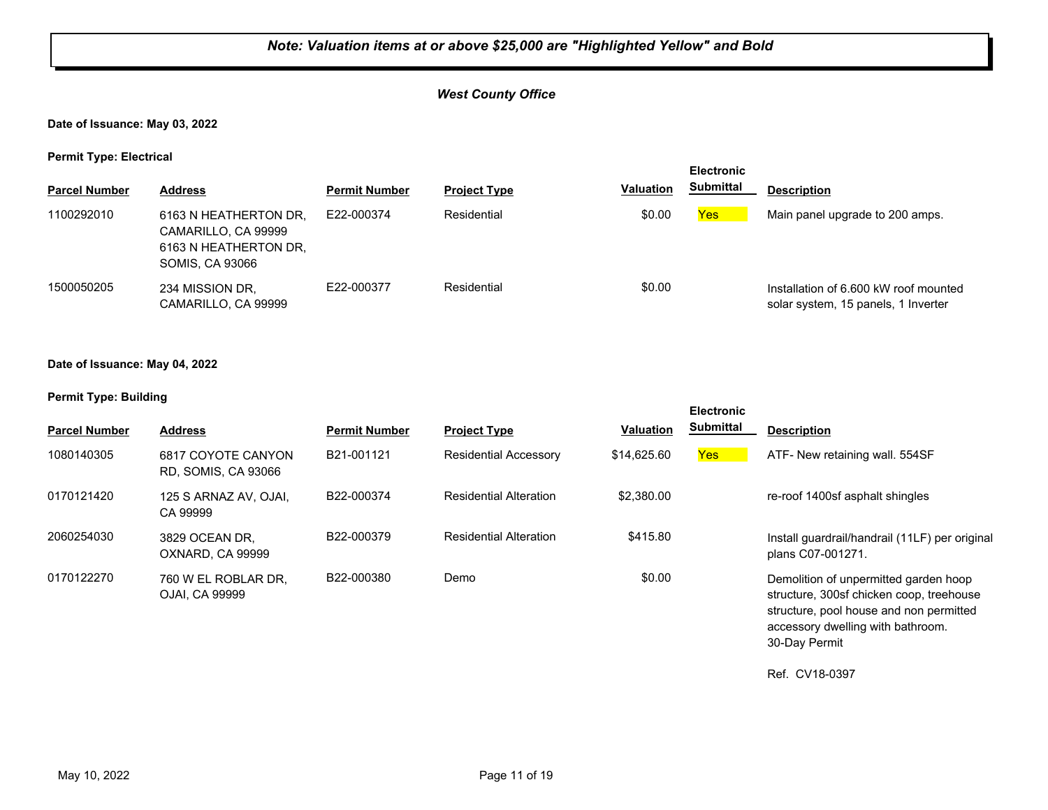#### *West County Office*

#### **Date of Issuance: May 03, 2022**

**Permit Type: Electrical**

| - -                  |                                                                                          |                      |                     |                  | <b>Electronic</b> |                                                                              |
|----------------------|------------------------------------------------------------------------------------------|----------------------|---------------------|------------------|-------------------|------------------------------------------------------------------------------|
| <b>Parcel Number</b> | <b>Address</b>                                                                           | <b>Permit Number</b> | <b>Project Type</b> | <b>Valuation</b> | <b>Submittal</b>  | <b>Description</b>                                                           |
| 1100292010           | 6163 N HEATHERTON DR.<br>CAMARILLO, CA 99999<br>6163 N HEATHERTON DR.<br>SOMIS, CA 93066 | E22-000374           | Residential         | \$0.00           | <b>Yes</b>        | Main panel upgrade to 200 amps.                                              |
| 1500050205           | 234 MISSION DR,<br>CAMARILLO, CA 99999                                                   | E22-000377           | Residential         | \$0.00           |                   | Installation of 6.600 kW roof mounted<br>solar system, 15 panels, 1 Inverter |

#### **Date of Issuance: May 04, 2022**

#### **Permit Type: Building**

| <b>Parcel Number</b> | <b>Address</b>                            | <b>Permit Number</b> | <b>Project Type</b>           | <b>Valuation</b> | <b>Electronic</b><br><b>Submittal</b> | <b>Description</b>                                                                                                                                                |
|----------------------|-------------------------------------------|----------------------|-------------------------------|------------------|---------------------------------------|-------------------------------------------------------------------------------------------------------------------------------------------------------------------|
| 1080140305           | 6817 COYOTE CANYON<br>RD. SOMIS, CA 93066 | B21-001121           | <b>Residential Accessory</b>  | \$14,625,60      | <b>Yes</b>                            | ATF- New retaining wall. 554SF                                                                                                                                    |
| 0170121420           | 125 S ARNAZ AV. OJAI.<br>CA 99999         | B22-000374           | <b>Residential Alteration</b> | \$2,380.00       |                                       | re-roof 1400sf asphalt shingles                                                                                                                                   |
| 2060254030           | 3829 OCEAN DR.<br>OXNARD, CA 99999        | B22-000379           | <b>Residential Alteration</b> | \$415.80         |                                       | Install guardrail/handrail (11LF) per original<br>plans C07-001271.                                                                                               |
| 0170122270           | 760 W EL ROBLAR DR.<br>OJAI, CA 99999     | B22-000380           | Demo                          | \$0.00           |                                       | Demolition of unpermitted garden hoop<br>structure, 300sf chicken coop, treehouse<br>structure, pool house and non permitted<br>accessory dwelling with bathroom. |

Ref. CV18-0397

30-Day Permit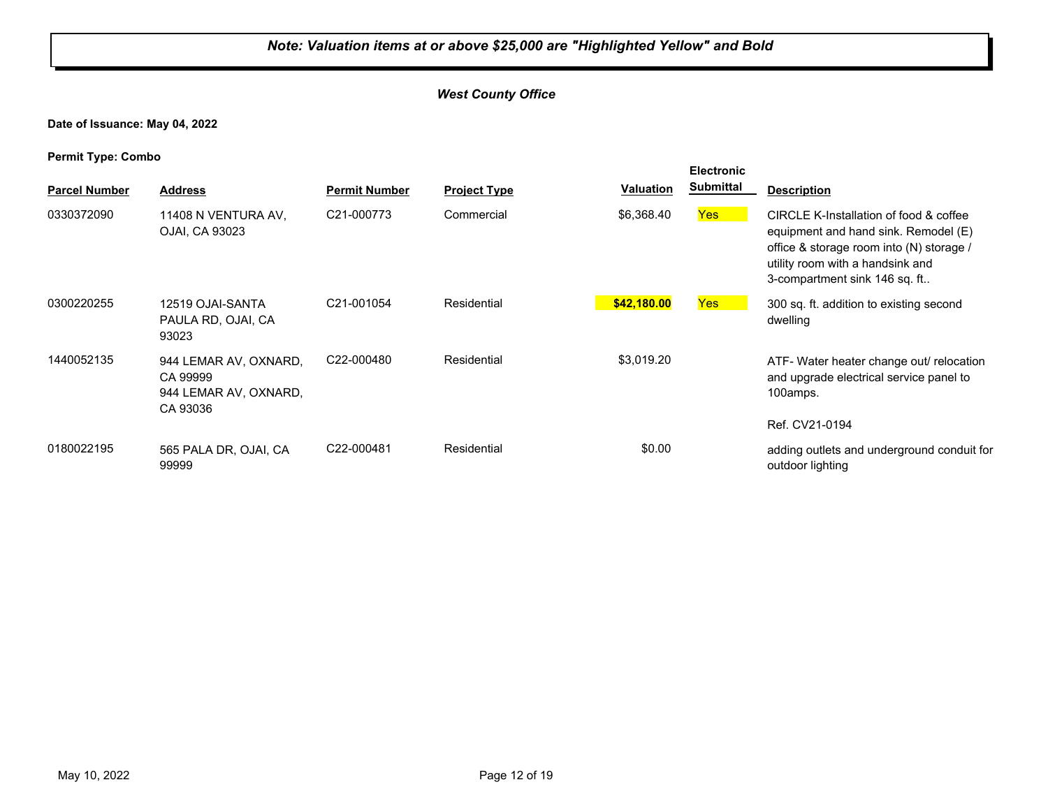#### *West County Office*

**Date of Issuance: May 04, 2022**

| . .<br><b>Parcel Number</b> | <b>Address</b>                                                         | <b>Permit Number</b> | <b>Project Type</b> | <b>Valuation</b> | <b>Electronic</b><br><b>Submittal</b> | <b>Description</b>                                                                                                                                                                              |
|-----------------------------|------------------------------------------------------------------------|----------------------|---------------------|------------------|---------------------------------------|-------------------------------------------------------------------------------------------------------------------------------------------------------------------------------------------------|
| 0330372090                  | 11408 N VENTURA AV,<br>OJAI, CA 93023                                  | C21-000773           | Commercial          | \$6,368.40       | <b>Yes</b>                            | CIRCLE K-Installation of food & coffee<br>equipment and hand sink. Remodel (E)<br>office & storage room into (N) storage /<br>utility room with a handsink and<br>3-compartment sink 146 sq. ft |
| 0300220255                  | 12519 OJAI-SANTA<br>PAULA RD, OJAI, CA<br>93023                        | C21-001054           | Residential         | \$42,180.00      | <b>Yes</b>                            | 300 sq. ft. addition to existing second<br>dwelling                                                                                                                                             |
| 1440052135                  | 944 LEMAR AV, OXNARD,<br>CA 99999<br>944 LEMAR AV, OXNARD,<br>CA 93036 | C22-000480           | Residential         | \$3,019.20       |                                       | ATF- Water heater change out/ relocation<br>and upgrade electrical service panel to<br>100amps.<br>Ref. CV21-0194                                                                               |
| 0180022195                  | 565 PALA DR, OJAI, CA<br>99999                                         | C22-000481           | Residential         | \$0.00           |                                       | adding outlets and underground conduit for<br>outdoor lighting                                                                                                                                  |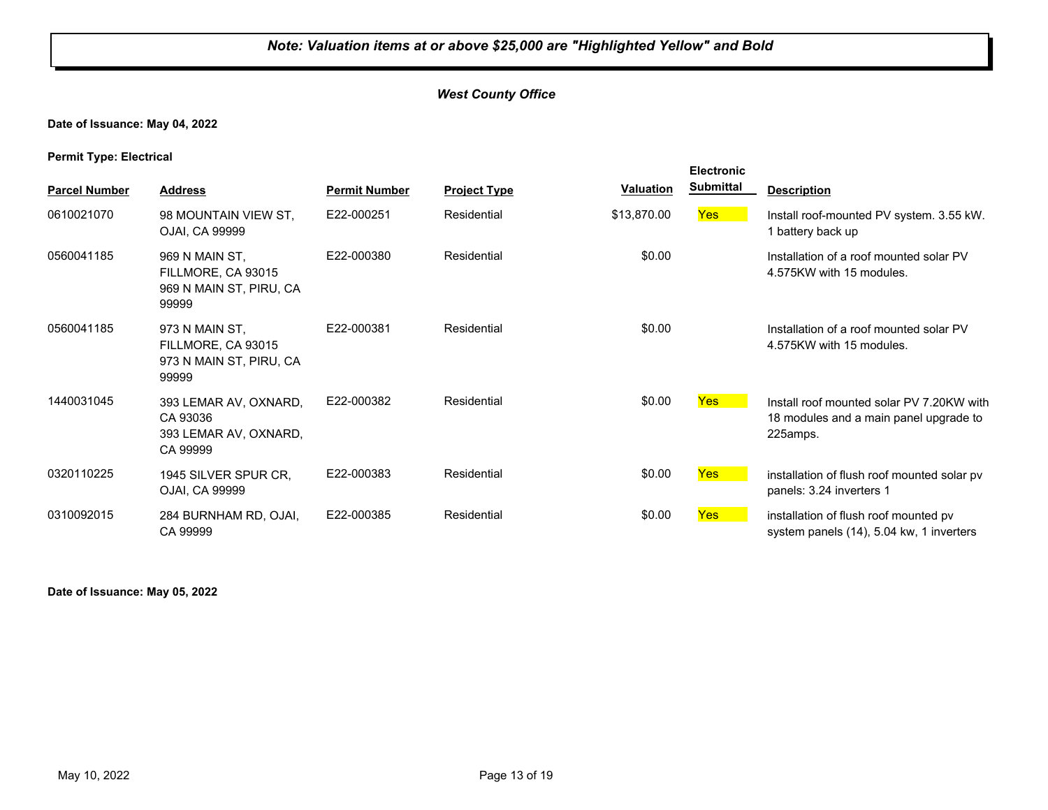#### **Date of Issuance: May 04, 2022**

**Permit Type: Electrical**

|                      |                                                                          |                      |                     |                  | <b>Electronic</b> |                                                                                                 |
|----------------------|--------------------------------------------------------------------------|----------------------|---------------------|------------------|-------------------|-------------------------------------------------------------------------------------------------|
| <b>Parcel Number</b> | <b>Address</b>                                                           | <b>Permit Number</b> | <b>Project Type</b> | <b>Valuation</b> | <b>Submittal</b>  | <b>Description</b>                                                                              |
| 0610021070           | 98 MOUNTAIN VIEW ST.<br>OJAI, CA 99999                                   | E22-000251           | Residential         | \$13,870.00      | <b>Yes</b>        | Install roof-mounted PV system. 3.55 kW.<br>1 battery back up                                   |
| 0560041185           | 969 N MAIN ST,<br>FILLMORE, CA 93015<br>969 N MAIN ST, PIRU, CA<br>99999 | E22-000380           | Residential         | \$0.00           |                   | Installation of a roof mounted solar PV<br>4.575KW with 15 modules.                             |
| 0560041185           | 973 N MAIN ST,<br>FILLMORE, CA 93015<br>973 N MAIN ST, PIRU, CA<br>99999 | E22-000381           | Residential         | \$0.00           |                   | Installation of a roof mounted solar PV<br>4.575KW with 15 modules.                             |
| 1440031045           | 393 LEMAR AV, OXNARD,<br>CA 93036<br>393 LEMAR AV, OXNARD,<br>CA 99999   | E22-000382           | Residential         | \$0.00           | <b>Yes</b>        | Install roof mounted solar PV 7.20KW with<br>18 modules and a main panel upgrade to<br>225amps. |
| 0320110225           | 1945 SILVER SPUR CR,<br>OJAI, CA 99999                                   | E22-000383           | Residential         | \$0.00           | <b>Yes</b>        | installation of flush roof mounted solar pv<br>panels: 3.24 inverters 1                         |
| 0310092015           | 284 BURNHAM RD, OJAI,<br>CA 99999                                        | E22-000385           | Residential         | \$0.00           | <b>Yes</b>        | installation of flush roof mounted pv<br>system panels (14), 5.04 kw, 1 inverters               |

**Date of Issuance: May 05, 2022**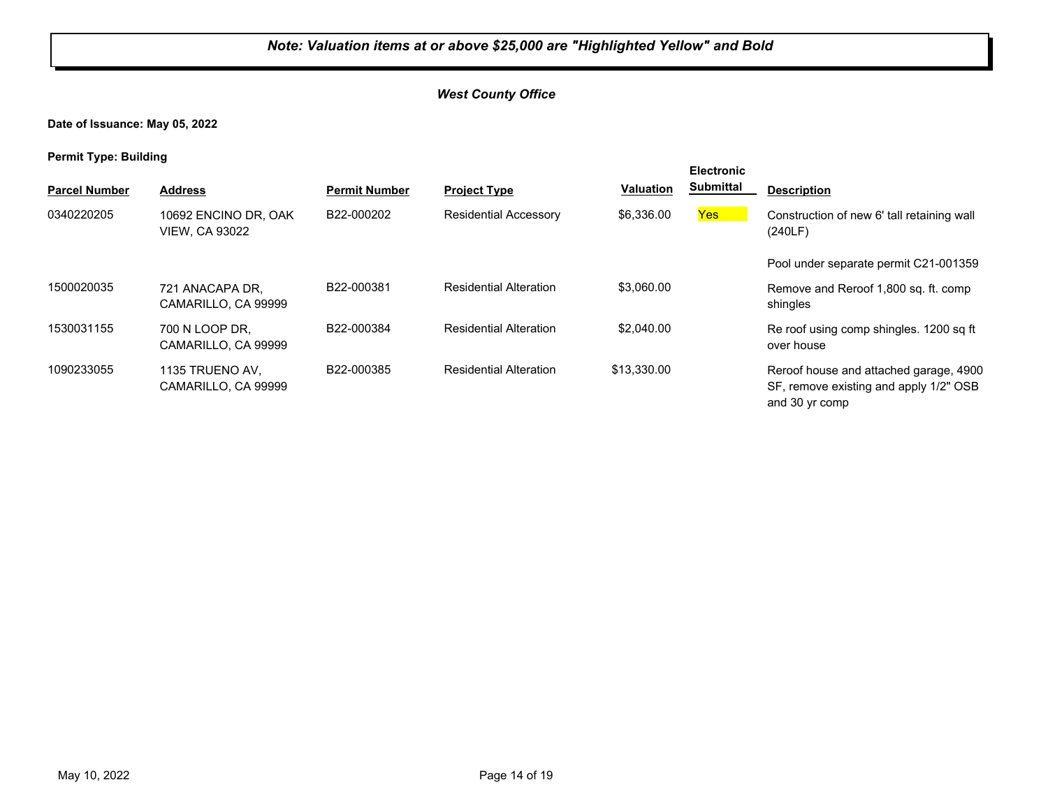**Date of Issuance: May 05, 2022**

**Permit Type: Building**

| . .                  |                                               |                      |                               |                  | <b>Electronic</b> |                                                                                                    |
|----------------------|-----------------------------------------------|----------------------|-------------------------------|------------------|-------------------|----------------------------------------------------------------------------------------------------|
| <b>Parcel Number</b> | <b>Address</b>                                | <b>Permit Number</b> | <b>Project Type</b>           | <b>Valuation</b> | <b>Submittal</b>  | <b>Description</b>                                                                                 |
| 0340220205           | 10692 ENCINO DR. OAK<br><b>VIEW, CA 93022</b> | B22-000202           | <b>Residential Accessory</b>  | \$6,336.00       | <b>Yes</b>        | Construction of new 6' tall retaining wall<br>(240LF)                                              |
|                      |                                               |                      |                               |                  |                   | Pool under separate permit C21-001359                                                              |
| 1500020035           | 721 ANACAPA DR,<br>CAMARILLO, CA 99999        | B22-000381           | <b>Residential Alteration</b> | \$3,060,00       |                   | Remove and Reroof 1,800 sq. ft. comp<br>shingles                                                   |
| 1530031155           | 700 N LOOP DR.<br>CAMARILLO, CA 99999         | B22-000384           | <b>Residential Alteration</b> | \$2,040.00       |                   | Re roof using comp shingles. 1200 sq ft<br>over house                                              |
| 1090233055           | 1135 TRUENO AV.<br>CAMARILLO, CA 99999        | B22-000385           | <b>Residential Alteration</b> | \$13,330,00      |                   | Reroof house and attached garage, 4900<br>SF, remove existing and apply 1/2" OSB<br>and 30 yr comp |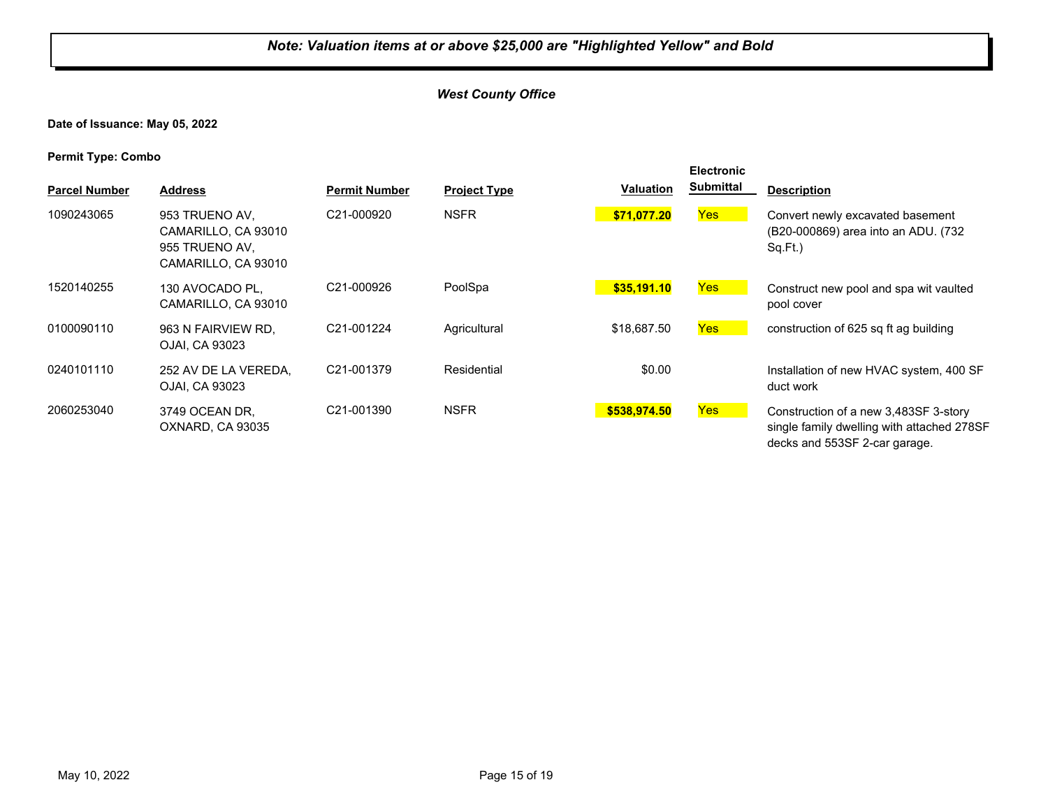#### *West County Office*

#### **Date of Issuance: May 05, 2022**

| <b>Parcel Number</b> | <b>Address</b>                                                                 | <b>Permit Number</b>    | <b>Project Type</b> | <b>Valuation</b> | <b>Electronic</b><br><b>Submittal</b> | <b>Description</b>                                                                                                   |
|----------------------|--------------------------------------------------------------------------------|-------------------------|---------------------|------------------|---------------------------------------|----------------------------------------------------------------------------------------------------------------------|
| 1090243065           | 953 TRUENO AV.<br>CAMARILLO, CA 93010<br>955 TRUENO AV.<br>CAMARILLO, CA 93010 | C21-000920              | <b>NSFR</b>         | \$71,077.20      | Yes                                   | Convert newly excavated basement<br>(B20-000869) area into an ADU. (732)<br>Sq.Ft.)                                  |
| 1520140255           | 130 AVOCADO PL.<br>CAMARILLO, CA 93010                                         | C21-000926              | PoolSpa             | \$35.191.10      | <b>Yes</b>                            | Construct new pool and spa wit vaulted<br>pool cover                                                                 |
| 0100090110           | 963 N FAIRVIEW RD.<br>OJAI. CA 93023                                           | C21-001224              | Agricultural        | \$18,687.50      | <b>Yes</b>                            | construction of 625 sq ft ag building                                                                                |
| 0240101110           | 252 AV DE LA VEREDA,<br>OJAI, CA 93023                                         | C <sub>21</sub> -001379 | Residential         | \$0.00           |                                       | Installation of new HVAC system, 400 SF<br>duct work                                                                 |
| 2060253040           | 3749 OCEAN DR.<br>OXNARD, CA 93035                                             | C <sub>21</sub> -001390 | <b>NSFR</b>         | \$538,974.50     | <b>Yes</b>                            | Construction of a new 3,483SF 3-story<br>single family dwelling with attached 278SF<br>decks and 553SF 2-car garage. |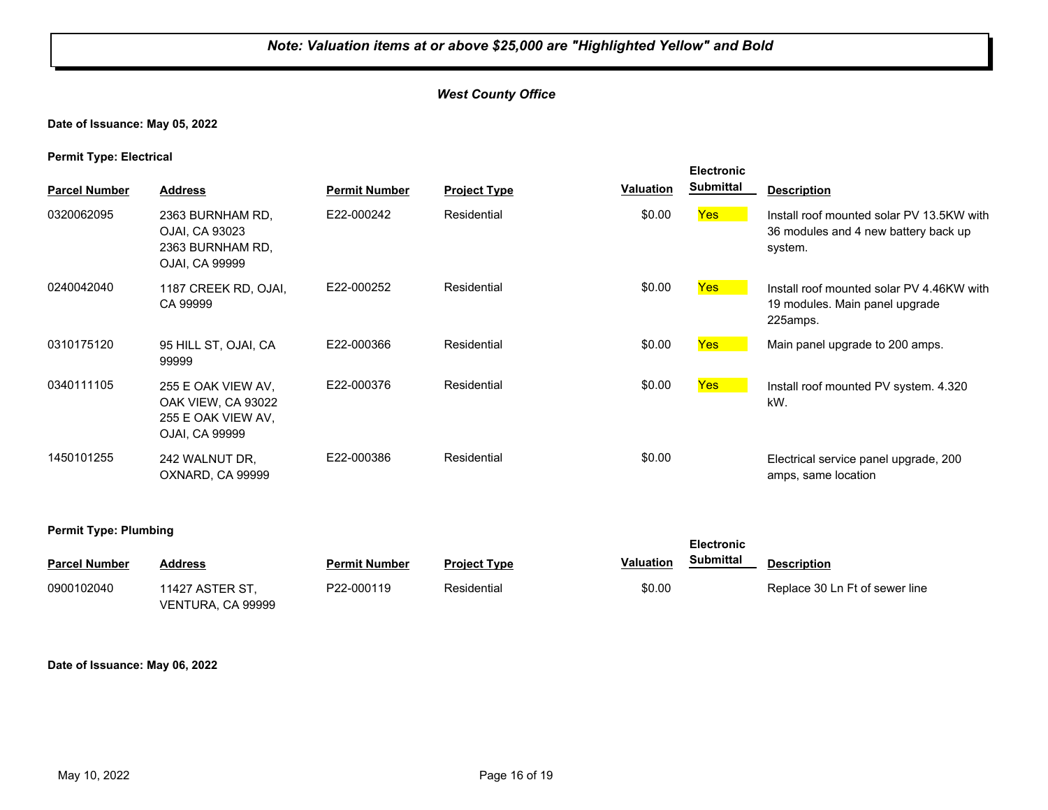#### *West County Office*

#### **Date of Issuance: May 05, 2022**

#### **Permit Type: Electrical**

| <b>Parcel Number</b> | <b>Address</b>                                                                          | <b>Permit Number</b> | <b>Project Type</b> | <b>Valuation</b> | <b>Electronic</b><br><b>Submittal</b> | <b>Description</b>                                                                           |
|----------------------|-----------------------------------------------------------------------------------------|----------------------|---------------------|------------------|---------------------------------------|----------------------------------------------------------------------------------------------|
| 0320062095           | 2363 BURNHAM RD,<br>OJAI, CA 93023<br>2363 BURNHAM RD,<br>OJAI, CA 99999                | E22-000242           | Residential         | \$0.00           | Yes                                   | Install roof mounted solar PV 13.5KW with<br>36 modules and 4 new battery back up<br>system. |
| 0240042040           | 1187 CREEK RD, OJAI,<br>CA 99999                                                        | E22-000252           | Residential         | \$0.00           | Yes <sup>1</sup>                      | Install roof mounted solar PV 4.46KW with<br>19 modules. Main panel upgrade<br>225amps.      |
| 0310175120           | 95 HILL ST, OJAI, CA<br>99999                                                           | E22-000366           | Residential         | \$0.00           | <b>Yes</b>                            | Main panel upgrade to 200 amps.                                                              |
| 0340111105           | 255 E OAK VIEW AV,<br><b>OAK VIEW, CA 93022</b><br>255 E OAK VIEW AV,<br>OJAI, CA 99999 | E22-000376           | Residential         | \$0.00           | <b>Yes</b>                            | Install roof mounted PV system. 4.320<br>kW.                                                 |
| 1450101255           | 242 WALNUT DR.<br>OXNARD, CA 99999                                                      | E22-000386           | Residential         | \$0.00           |                                       | Electrical service panel upgrade, 200<br>amps, same location                                 |

#### **Permit Type: Plumbing**

| ___                  |                                      |                      |                     |           | <b>Electronic</b> |                                |
|----------------------|--------------------------------------|----------------------|---------------------|-----------|-------------------|--------------------------------|
| <b>Parcel Number</b> | <b>Address</b>                       | <b>Permit Number</b> | <b>Project Type</b> | Valuation | Submittal         | <b>Description</b>             |
| 0900102040           | 11427 ASTER ST.<br>VENTURA, CA 99999 | P22-000119           | Residential         | \$0.00    |                   | Replace 30 Ln Ft of sewer line |

#### **Date of Issuance: May 06, 2022**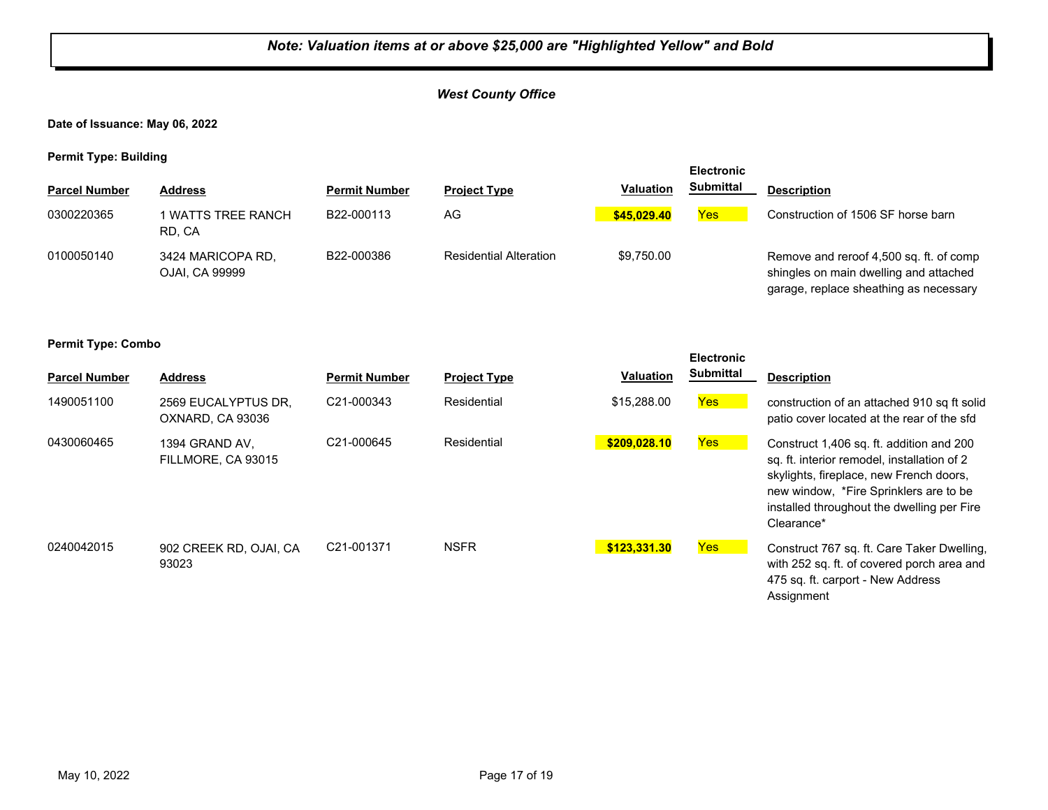#### *West County Office*

**Date of Issuance: May 06, 2022**

**Permit Type: Building**

| . .                  |                                     |                      |                               |                  | <b>Electronic</b> |                                                                                                                             |
|----------------------|-------------------------------------|----------------------|-------------------------------|------------------|-------------------|-----------------------------------------------------------------------------------------------------------------------------|
| <b>Parcel Number</b> | <b>Address</b>                      | <b>Permit Number</b> | <b>Project Type</b>           | <b>Valuation</b> | <b>Submittal</b>  | <b>Description</b>                                                                                                          |
| 0300220365           | I WATTS TREE RANCH<br>RD. CA        | B22-000113           | AG                            | \$45,029.40      | <b>Yes</b>        | Construction of 1506 SF horse barn                                                                                          |
| 0100050140           | 3424 MARICOPA RD.<br>OJAI, CA 99999 | B22-000386           | <b>Residential Alteration</b> | \$9.750.00       |                   | Remove and reroof 4,500 sq. ft. of comp<br>shingles on main dwelling and attached<br>garage, replace sheathing as necessary |

| <b>Parcel Number</b> | <b>Address</b>                          | <b>Permit Number</b>    | <b>Project Type</b> | <b>Valuation</b> | <b>Electronic</b><br><b>Submittal</b> | <b>Description</b>                                                                                                                                                                                                                       |
|----------------------|-----------------------------------------|-------------------------|---------------------|------------------|---------------------------------------|------------------------------------------------------------------------------------------------------------------------------------------------------------------------------------------------------------------------------------------|
| 1490051100           | 2569 EUCALYPTUS DR.<br>OXNARD, CA 93036 | C21-000343              | Residential         | \$15,288.00      | <b>Yes</b>                            | construction of an attached 910 sq ft solid<br>patio cover located at the rear of the sfd                                                                                                                                                |
| 0430060465           | 1394 GRAND AV.<br>FILLMORE, CA 93015    | C21-000645              | Residential         | \$209,028.10     | Yes                                   | Construct 1,406 sq. ft. addition and 200<br>sq. ft. interior remodel, installation of 2<br>skylights, fireplace, new French doors,<br>new window, *Fire Sprinklers are to be<br>installed throughout the dwelling per Fire<br>Clearance* |
| 0240042015           | 902 CREEK RD, OJAI, CA<br>93023         | C <sub>21</sub> -001371 | <b>NSFR</b>         | \$123,331.30     | Yes                                   | Construct 767 sq. ft. Care Taker Dwelling,<br>with 252 sq. ft. of covered porch area and<br>475 sq. ft. carport - New Address<br>Assignment                                                                                              |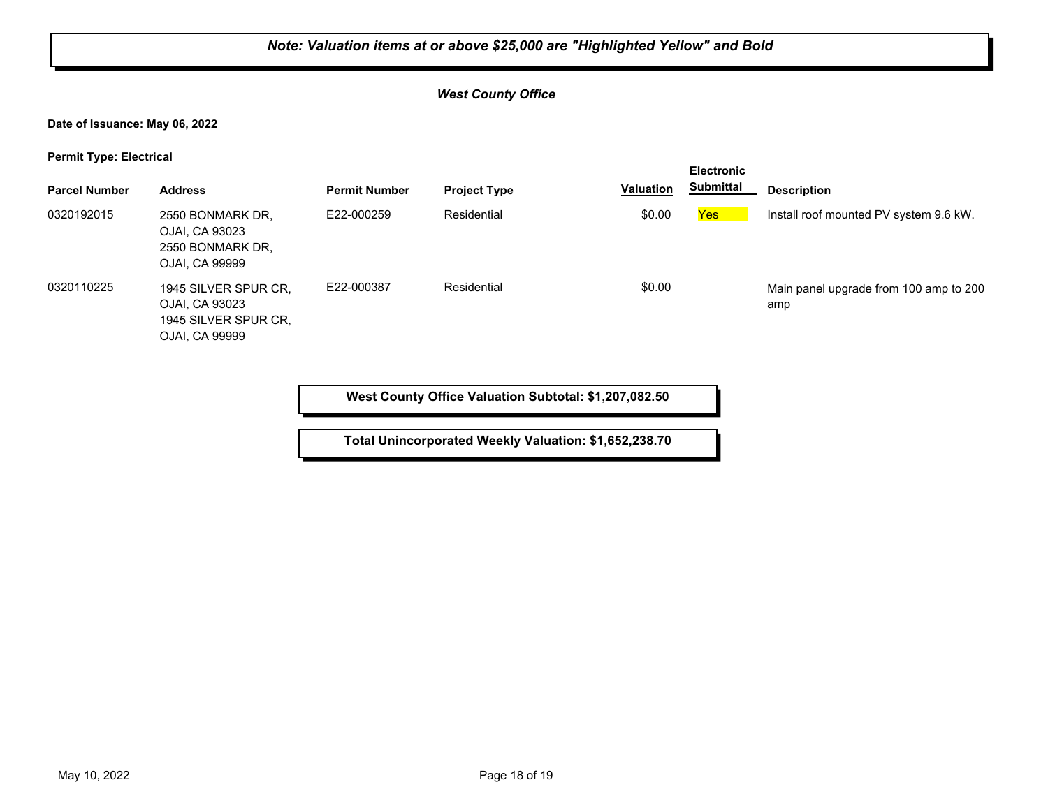#### *West County Office*

**Date of Issuance: May 06, 2022**

**Permit Type: Electrical**

| . .                  |                                                                                  |                      |                     |           | <b>Electronic</b> |                                               |
|----------------------|----------------------------------------------------------------------------------|----------------------|---------------------|-----------|-------------------|-----------------------------------------------|
| <b>Parcel Number</b> | <b>Address</b>                                                                   | <b>Permit Number</b> | <b>Project Type</b> | Valuation | <b>Submittal</b>  | <b>Description</b>                            |
| 0320192015           | 2550 BONMARK DR.<br>OJAI, CA 93023<br>2550 BONMARK DR.<br>OJAI, CA 99999         | E22-000259           | Residential         | \$0.00    | Yes               | Install roof mounted PV system 9.6 kW.        |
| 0320110225           | 1945 SILVER SPUR CR,<br>OJAI, CA 93023<br>1945 SILVER SPUR CR.<br>OJAI, CA 99999 | E22-000387           | Residential         | \$0.00    |                   | Main panel upgrade from 100 amp to 200<br>amp |

**West County Office Valuation Subtotal: \$1,207,082.50**

**Total Unincorporated Weekly Valuation: \$1,652,238.70**